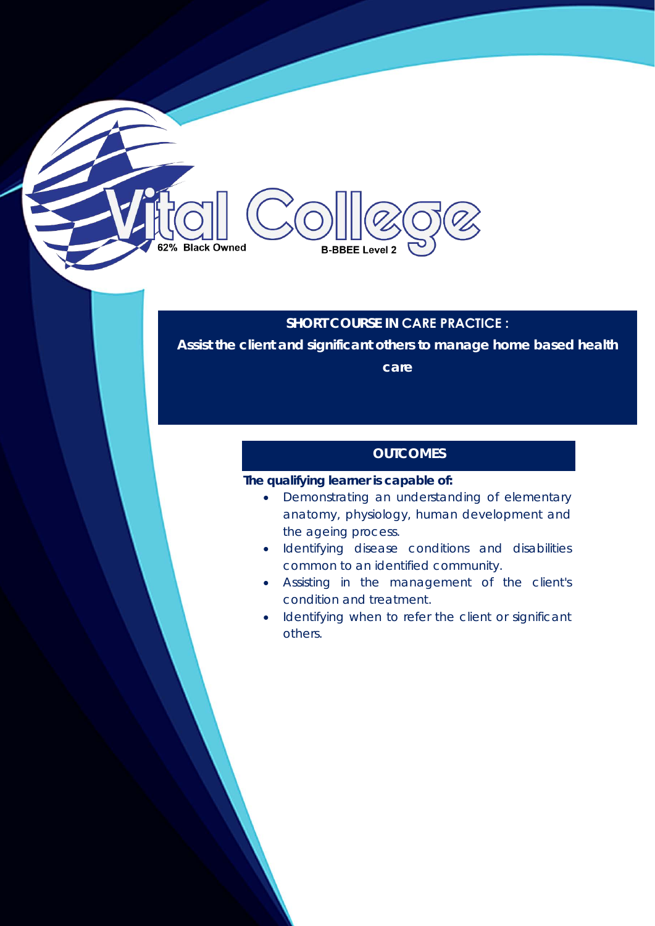# **Black Owned B-BBEE Level 2**

### **SHORT COURSE IN CARE PRACTICE :**

**Assist the client and significant others to manage home based health** 

**care** 

## **OUTCOMES**

#### **The qualifying learner is capable of:**

- Demonstrating an understanding of elementary anatomy, physiology, human development and the ageing process.
- Identifying disease conditions and disabilities common to an identified community.
- Assisting in the management of the client's condition and treatment.
- Identifying when to refer the client or significant others.